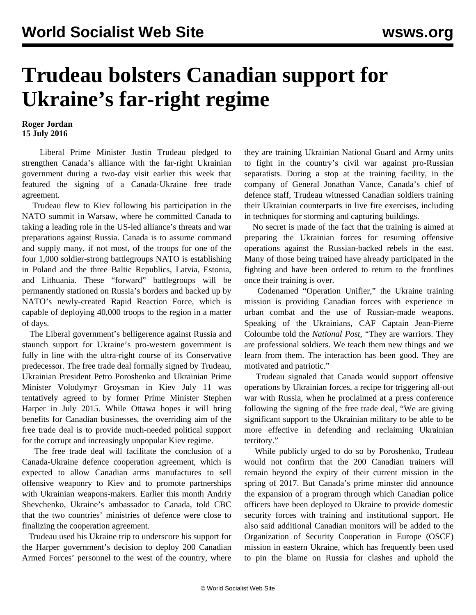## **Trudeau bolsters Canadian support for Ukraine's far-right regime**

## **Roger Jordan 15 July 2016**

 Liberal Prime Minister Justin Trudeau pledged to strengthen Canada's alliance with the far-right Ukrainian government during a two-day visit earlier this week that featured the signing of a Canada-Ukraine free trade agreement.

 Trudeau flew to Kiev following his participation in the NATO summit in Warsaw, where he committed Canada to taking a leading role in the US-led alliance's threats and war preparations against Russia. Canada is to assume command and supply many, if not most, of the troops for one of the four 1,000 soldier-strong battlegroups NATO is establishing in Poland and the three Baltic Republics, Latvia, Estonia, and Lithuania. These "forward" battlegroups will be permanently stationed on Russia's borders and backed up by NATO's newly-created Rapid Reaction Force, which is capable of deploying 40,000 troops to the region in a matter of days.

 The Liberal government's belligerence against Russia and staunch support for Ukraine's pro-western government is fully in line with the ultra-right course of its Conservative predecessor. The free trade deal formally signed by Trudeau, Ukrainian President Petro Poroshenko and Ukrainian Prime Minister Volodymyr Groysman in Kiev July 11 was tentatively agreed to by former Prime Minister Stephen Harper in July 2015. While Ottawa hopes it will bring benefits for Canadian businesses, the overriding aim of the free trade deal is to provide much-needed political support for the corrupt and increasingly unpopular Kiev regime.

 The free trade deal will facilitate the conclusion of a Canada-Ukraine defence cooperation agreement, which is expected to allow Canadian arms manufactures to sell offensive weaponry to Kiev and to promote partnerships with Ukrainian weapons-makers. Earlier this month Andriy Shevchenko, Ukraine's ambassador to Canada, told CBC that the two countries' ministries of defence were close to finalizing the cooperation agreement.

 Trudeau used his Ukraine trip to underscore his support for the Harper government's decision to deploy 200 Canadian Armed Forces' personnel to the west of the country, where they are training Ukrainian National Guard and Army units to fight in the country's civil war against pro-Russian separatists. During a stop at the training facility, in the company of General Jonathan Vance, Canada's chief of defence staff, Trudeau witnessed Canadian soldiers training their Ukrainian counterparts in live fire exercises, including in techniques for storming and capturing buildings.

 No secret is made of the fact that the training is aimed at preparing the Ukrainian forces for resuming offensive operations against the Russian-backed rebels in the east. Many of those being trained have already participated in the fighting and have been ordered to return to the frontlines once their training is over.

 Codenamed "Operation Unifier," the Ukraine training mission is providing Canadian forces with experience in urban combat and the use of Russian-made weapons. Speaking of the Ukrainians, CAF Captain Jean-Pierre Coloumbe told the *National Post*, "They are warriors. They are professional soldiers. We teach them new things and we learn from them. The interaction has been good. They are motivated and patriotic."

 Trudeau signaled that Canada would support offensive operations by Ukrainian forces, a recipe for triggering all-out war with Russia, when he proclaimed at a press conference following the signing of the free trade deal, "We are giving significant support to the Ukrainian military to be able to be more effective in defending and reclaiming Ukrainian territory."

 While publicly urged to do so by Poroshenko, Trudeau would not confirm that the 200 Canadian trainers will remain beyond the expiry of their current mission in the spring of 2017. But Canada's prime minster did announce the expansion of a program through which Canadian police officers have been deployed to Ukraine to provide domestic security forces with training and institutional support. He also said additional Canadian monitors will be added to the Organization of Security Cooperation in Europe (OSCE) mission in eastern Ukraine, which has frequently been used to pin the blame on Russia for clashes and uphold the